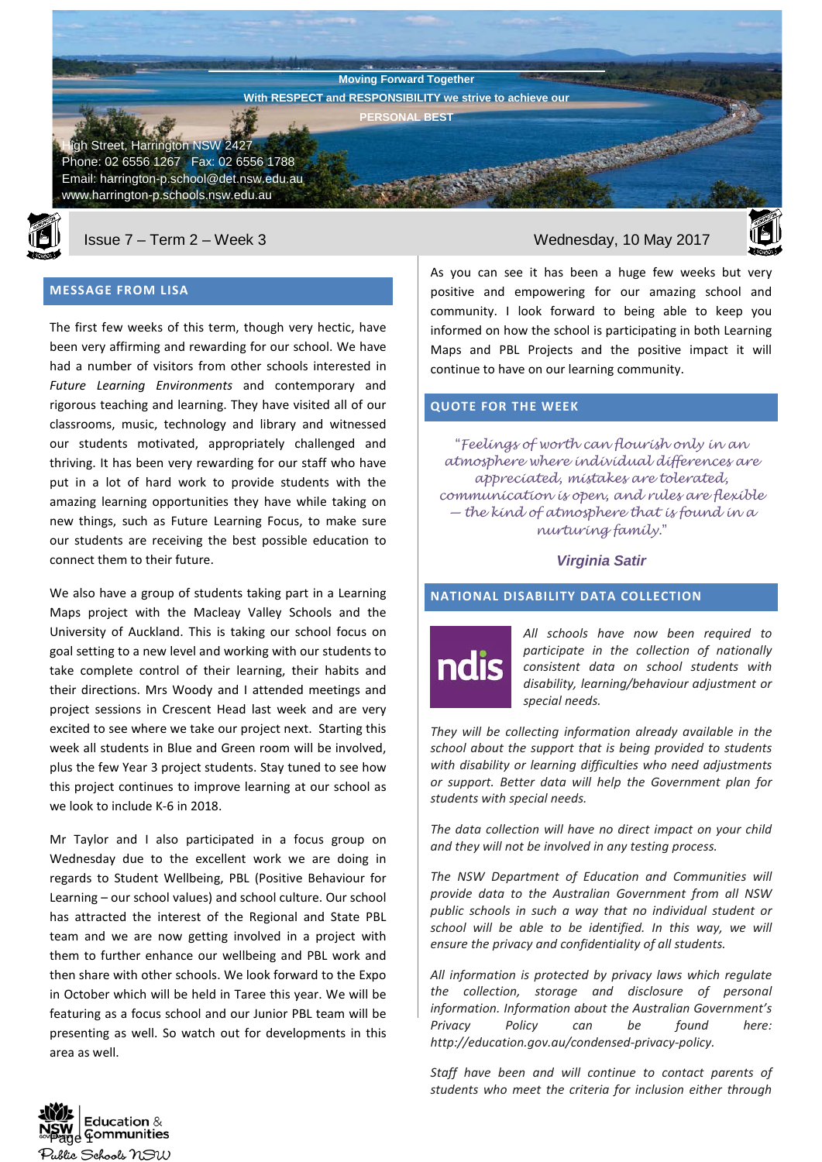**Harrington Public School Newsletter Moving Forward Together With RESPECT and RESPONSIBILITY we strive to achieve our PERSONAL BEST**

gh Street, Harrington NSW 2427 Phone: 02 6556 1267 Fax: 02 6556 1788 Email: harrington-p.school@det.nsw.edu.au www.harrington-p.schools.nsw.edu.au



Issue 7 – Term 2 – Week 3 Wednesday, 10 May 2017

# **MESSAGE FROM LISA**

The first few weeks of this term, though very hectic, have been very affirming and rewarding for our school. We have had a number of visitors from other schools interested in *Future Learning Environments* and contemporary and rigorous teaching and learning. They have visited all of our classrooms, music, technology and library and witnessed our students motivated, appropriately challenged and thriving. It has been very rewarding for our staff who have put in a lot of hard work to provide students with the amazing learning opportunities they have while taking on new things, such as Future Learning Focus, to make sure our students are receiving the best possible education to connect them to their future.

We also have a group of students taking part in a Learning Maps project with the Macleay Valley Schools and the University of Auckland. This is taking our school focus on goal setting to a new level and working with our students to take complete control of their learning, their habits and their directions. Mrs Woody and I attended meetings and project sessions in Crescent Head last week and are very excited to see where we take our project next. Starting this week all students in Blue and Green room will be involved, plus the few Year 3 project students. Stay tuned to see how this project continues to improve learning at our school as we look to include K-6 in 2018.

Mr Taylor and I also participated in a focus group on Wednesday due to the excellent work we are doing in regards to Student Wellbeing, PBL (Positive Behaviour for Learning – our school values) and school culture. Our school has attracted the interest of the Regional and State PBL team and we are now getting involved in a project with them to further enhance our wellbeing and PBL work and then share with other schools. We look forward to the Expo in October which will be held in Taree this year. We will be featuring as a focus school and our Junior PBL team will be presenting as well. So watch out for developments in this area as well.



As you can see it has been a huge few weeks but very positive and empowering for our amazing school and community. I look forward to being able to keep you informed on how the school is participating in both Learning Maps and PBL Projects and the positive impact it will continue to have on our learning community.

# **QUOTE FOR THE WEEK**

"*Feelings of worth can flourish only in an atmosphere where individual differences are appreciated, mistakes are tolerated, communication is open, and rules are flexible — the kind of atmosphere that is found in a nurturing family.*"

#### *Virginia Satir*

## **NATIONAL DISABILITY DATA COLLECTION**



*All schools have now been required to participate in the collection of nationally consistent data on school students with disability, learning/behaviour adjustment or special needs.* 

*They will be collecting information already available in the school about the support that is being provided to students with disability or learning difficulties who need adjustments or support. Better data will help the Government plan for students with special needs.* 

*The data collection will have no direct impact on your child and they will not be involved in any testing process.* 

*The NSW Department of Education and Communities will provide data to the Australian Government from all NSW public schools in such a way that no individual student or school will be able to be identified. In this way, we will ensure the privacy and confidentiality of all students.*

*All information is protected by privacy laws which regulate the collection, storage and disclosure of personal information. Information about the Australian Government's Privacy Policy can be found here: http://education.gov.au/condensed-privacy-policy.* 

*Staff have been and will continue to contact parents of students who meet the criteria for inclusion either through* 

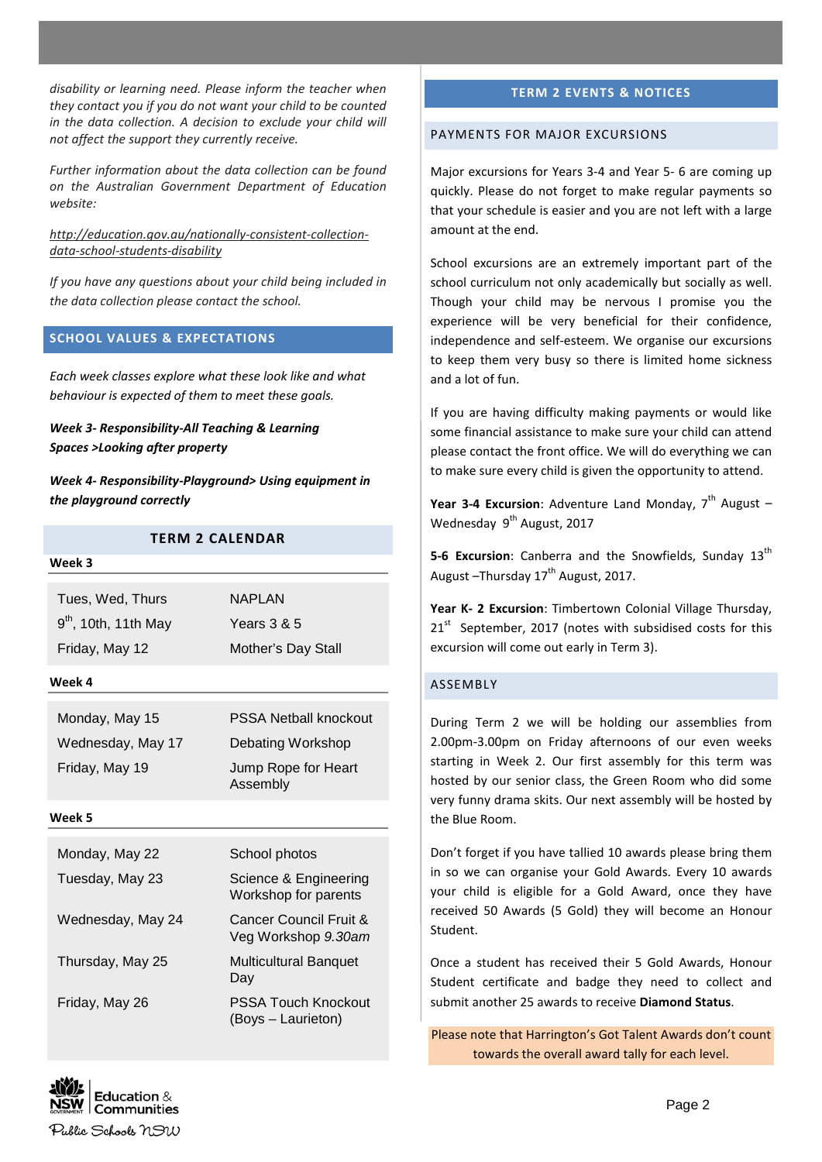*disability or learning need. Please inform the teacher when they contact you if you do not want your child to be counted in the data collection. A decision to exclude your child will not affect the support they currently receive.*

*Further information about the data collection can be found on the Australian Government Department of Education website:*

*[http://education.gov.au/nationally-consistent-collection](http://education.gov.au/nationally-consistent-collection-data-school-students-disability)[data-school-students-disability](http://education.gov.au/nationally-consistent-collection-data-school-students-disability)*

*If you have any questions about your child being included in the data collection please contact the school.*

# **SCHOOL VALUES & EXPECTATIONS**

*Each week classes explore what these look like and what behaviour is expected of them to meet these goals.*

*Week 3- Responsibility-All Teaching & Learning Spaces >Looking after property*

*Week 4- Responsibility-Playground> Using equipment in the playground correctly*

# **TERM 2 CALENDAR**

#### **Week 3**

| Tues, Wed, Thurs       | <b>NAPLAN</b>      |
|------------------------|--------------------|
| $9th$ , 10th, 11th May | Years $3 & 5$      |
| Friday, May 12         | Mother's Day Stall |

#### **Week 4**

Monday, May 15 **PSSA Netball knockout** Wednesday, May 17 Debating Workshop Friday, May 19 Jump Rope for Heart Assembly

#### **Week 5**

| Monday, May 22    | School photos                                    |
|-------------------|--------------------------------------------------|
| Tuesday, May 23   | Science & Engineering<br>Workshop for parents    |
| Wednesday, May 24 | Cancer Council Fruit &<br>Veg Workshop 9.30am    |
| Thursday, May 25  | <b>Multicultural Banguet</b><br>Day              |
| Friday, May 26    | <b>PSSA Touch Knockout</b><br>(Boys - Laurieton) |

#### **TERM 2 EVENTS & NOTICES**

#### PAYMENTS FOR MAJOR EXCURSIONS

Major excursions for Years 3-4 and Year 5- 6 are coming up quickly. Please do not forget to make regular payments so that your schedule is easier and you are not left with a large amount at the end.

School excursions are an extremely important part of the school curriculum not only academically but socially as well. Though your child may be nervous I promise you the experience will be very beneficial for their confidence, independence and self-esteem. We organise our excursions to keep them very busy so there is limited home sickness and a lot of fun.

If you are having difficulty making payments or would like some financial assistance to make sure your child can attend please contact the front office. We will do everything we can to make sure every child is given the opportunity to attend.

Year 3-4 Excursion: Adventure Land Monday, 7<sup>th</sup> August -Wednesday 9<sup>th</sup> August, 2017

**5-6 Excursion:** Canberra and the Snowfields, Sunday 13<sup>th</sup> August  $-$ Thursday 17<sup>th</sup> August, 2017.

**Year K- 2 Excursion**: Timbertown Colonial Village Thursday, 21<sup>st</sup> September, 2017 (notes with subsidised costs for this excursion will come out early in Term 3).

### ASSEMBLY

During Term 2 we will be holding our assemblies from 2.00pm-3.00pm on Friday afternoons of our even weeks starting in Week 2. Our first assembly for this term was hosted by our senior class, the Green Room who did some very funny drama skits. Our next assembly will be hosted by the Blue Room.

Don't forget if you have tallied 10 awards please bring them in so we can organise your Gold Awards. Every 10 awards your child is eligible for a Gold Award, once they have received 50 Awards (5 Gold) they will become an Honour Student.

Once a student has received their 5 Gold Awards, Honour Student certificate and badge they need to collect and submit another 25 awards to receive **Diamond Status**.

Please note that Harrington's Got Talent Awards don't count towards the overall award tally for each level.

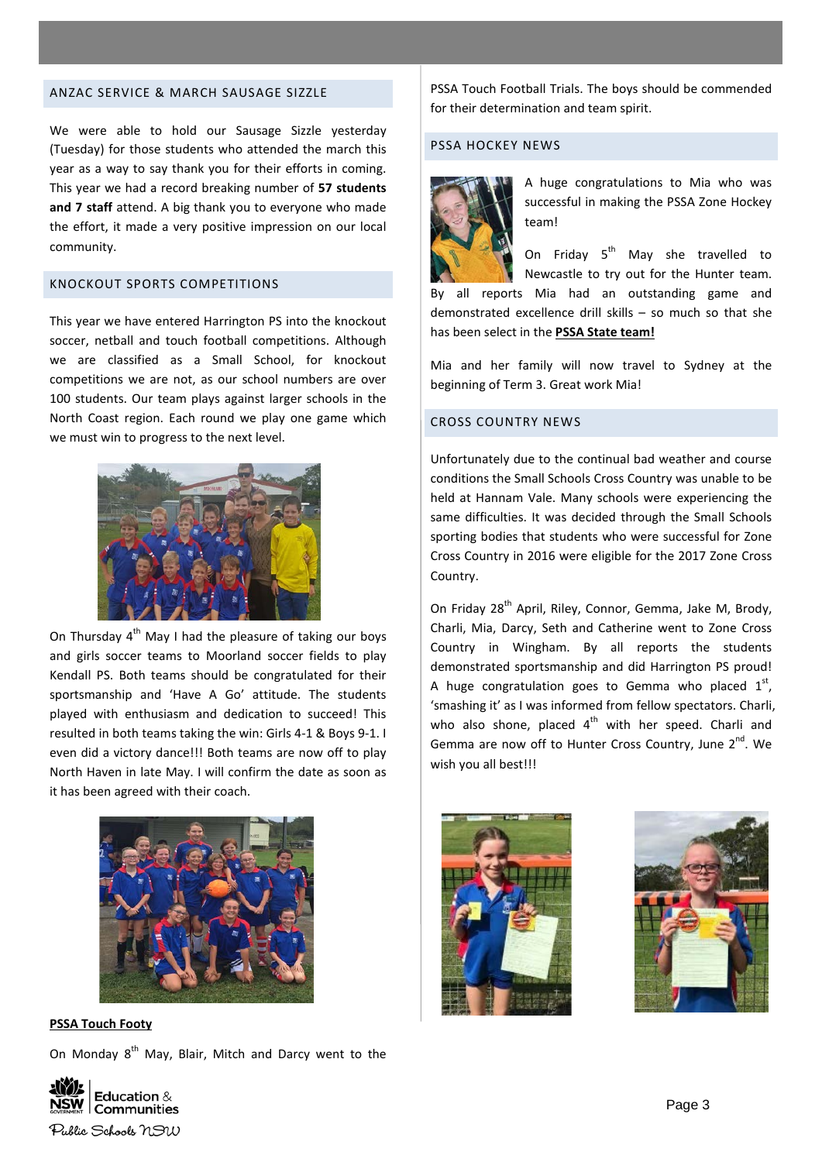#### ANZAC SERVICE & MARCH SAUSAGE SIZZLE

We were able to hold our Sausage Sizzle yesterday (Tuesday) for those students who attended the march this year as a way to say thank you for their efforts in coming. This year we had a record breaking number of **57 students and 7 staff** attend. A big thank you to everyone who made the effort, it made a very positive impression on our local community.

# KNOCKOUT SPORTS COMPETITIONS

This year we have entered Harrington PS into the knockout soccer, netball and touch football competitions. Although we are classified as a Small School, for knockout competitions we are not, as our school numbers are over 100 students. Our team plays against larger schools in the North Coast region. Each round we play one game which we must win to progress to the next level.



On Thursday  $4^{th}$  May I had the pleasure of taking our boys and girls soccer teams to Moorland soccer fields to play Kendall PS. Both teams should be congratulated for their sportsmanship and 'Have A Go' attitude. The students played with enthusiasm and dedication to succeed! This resulted in both teams taking the win: Girls 4-1 & Boys 9-1. I even did a victory dance!!! Both teams are now off to play North Haven in late May. I will confirm the date as soon as it has been agreed with their coach.



**PSSA Touch Footy**

On Monday 8<sup>th</sup> May, Blair, Mitch and Darcy went to the

PSSA Touch Football Trials. The boys should be commended for their determination and team spirit.

# PSSA HOCKEY NEWS



A huge congratulations to Mia who was successful in making the PSSA Zone Hockey team!

On Friday  $5^{th}$  May she travelled to

Newcastle to try out for the Hunter team. By all reports Mia had an outstanding game and demonstrated excellence drill skills – so much so that she has been select in the **PSSA State team!**

Mia and her family will now travel to Sydney at the beginning of Term 3. Great work Mia!

### CROSS COUNTRY NEWS

Unfortunately due to the continual bad weather and course conditions the Small Schools Cross Country was unable to be held at Hannam Vale. Many schools were experiencing the same difficulties. It was decided through the Small Schools sporting bodies that students who were successful for Zone Cross Country in 2016 were eligible for the 2017 Zone Cross Country.

On Friday 28<sup>th</sup> April, Riley, Connor, Gemma, Jake M, Brody, Charli, Mia, Darcy, Seth and Catherine went to Zone Cross Country in Wingham. By all reports the students demonstrated sportsmanship and did Harrington PS proud! A huge congratulation goes to Gemma who placed  $1^{st}$ , 'smashing it' as I was informed from fellow spectators. Charli, who also shone, placed  $4<sup>th</sup>$  with her speed. Charli and Gemma are now off to Hunter Cross Country, June  $2^{nd}$ . We wish you all best!!!





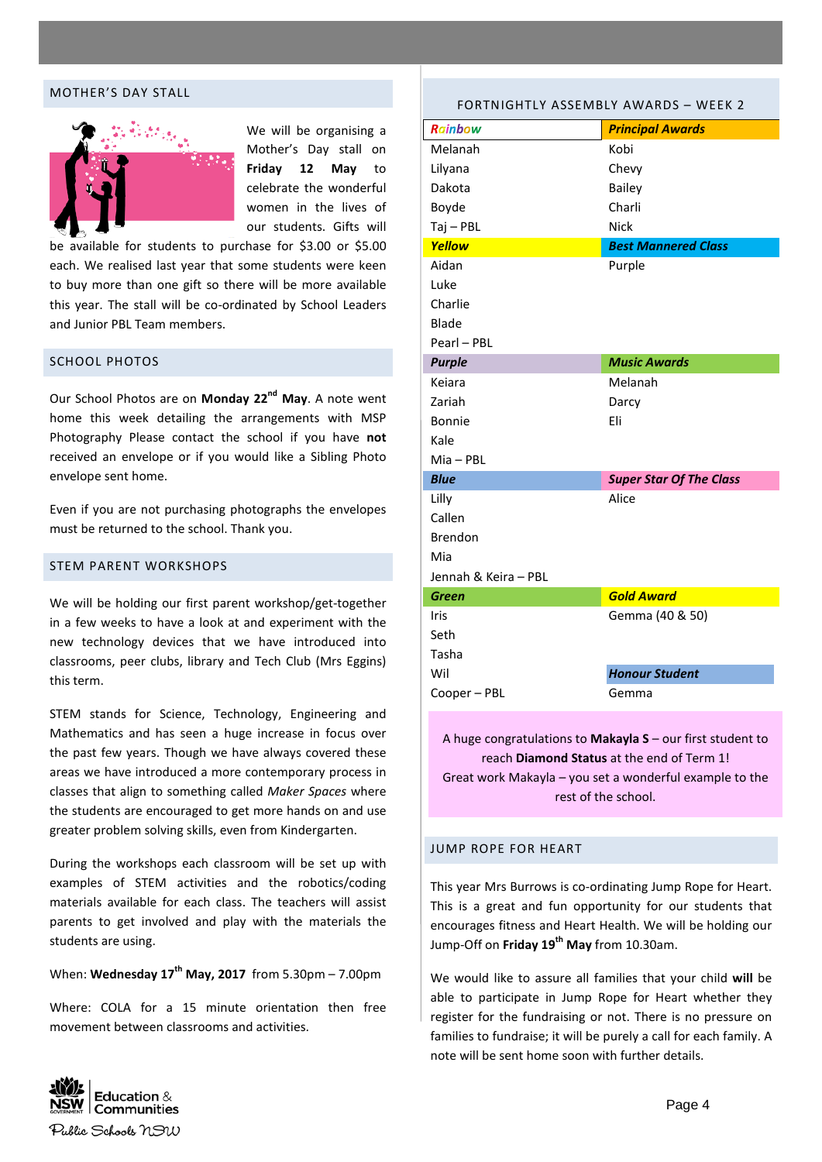#### MOTHER'S DAY STALL



We will be organising a Mother's Day stall on **Friday 12 May** to celebrate the wonderful women in the lives of our students. Gifts will

be available for students to purchase for \$3.00 or \$5.00 each. We realised last year that some students were keen to buy more than one gift so there will be more available this year. The stall will be co-ordinated by School Leaders and Junior PBL Team members.

#### SCHOOL PHOTOS

Our School Photos are on **Monday 22nd May**. A note went home this week detailing the arrangements with MSP Photography Please contact the school if you have **not** received an envelope or if you would like a Sibling Photo envelope sent home.

Even if you are not purchasing photographs the envelopes must be returned to the school. Thank you.

### STEM PARENT WORKSHOPS

We will be holding our first parent workshop/get-together in a few weeks to have a look at and experiment with the new technology devices that we have introduced into classrooms, peer clubs, library and Tech Club (Mrs Eggins) this term.

STEM stands for Science, Technology, Engineering and Mathematics and has seen a huge increase in focus over the past few years. Though we have always covered these areas we have introduced a more contemporary process in classes that align to something called *Maker Spaces* where the students are encouraged to get more hands on and use greater problem solving skills, even from Kindergarten.

During the workshops each classroom will be set up with examples of STEM activities and the robotics/coding materials available for each class. The teachers will assist parents to get involved and play with the materials the students are using.

# When: **Wednesday 17th May, 2017** from 5.30pm – 7.00pm

Where: COLA for a 15 minute orientation then free movement between classrooms and activities.

# *Rainbow Principal Awards* Melanah Kobi Lilyana Chevy Dakota **Bailey** Boyde Charli Tai – PBL Nick *Yellow Best Mannered Class* Aidan Purple Luke Charlie Blade Pearl – PBL *Purple Music Awards* Keiara Melanah Zariah Darcy Bonnie Eli Kale Mia – PBL *Blue Super Star Of The Class* Lilly Alice Callen Brendon Mia Jennah & Keira – PBL *Green Gold Award* Iris Seth Tasha Gemma (40 & 50) Wil Cooper – PBL *Honour Student* Gemma

FORTNIGHTLY ASSEMBLY AWARDS – WEEK 2

A huge congratulations to **Makayla S** – our first student to reach **Diamond Status** at the end of Term 1! Great work Makayla – you set a wonderful example to the rest of the school.

#### JUMP ROPE FOR HEART

This year Mrs Burrows is co-ordinating Jump Rope for Heart. This is a great and fun opportunity for our students that encourages fitness and Heart Health. We will be holding our Jump-Off on **Friday 19th May** from 10.30am.

We would like to assure all families that your child **will** be able to participate in Jump Rope for Heart whether they register for the fundraising or not. There is no pressure on families to fundraise; it will be purely a call for each family. A note will be sent home soon with further details.

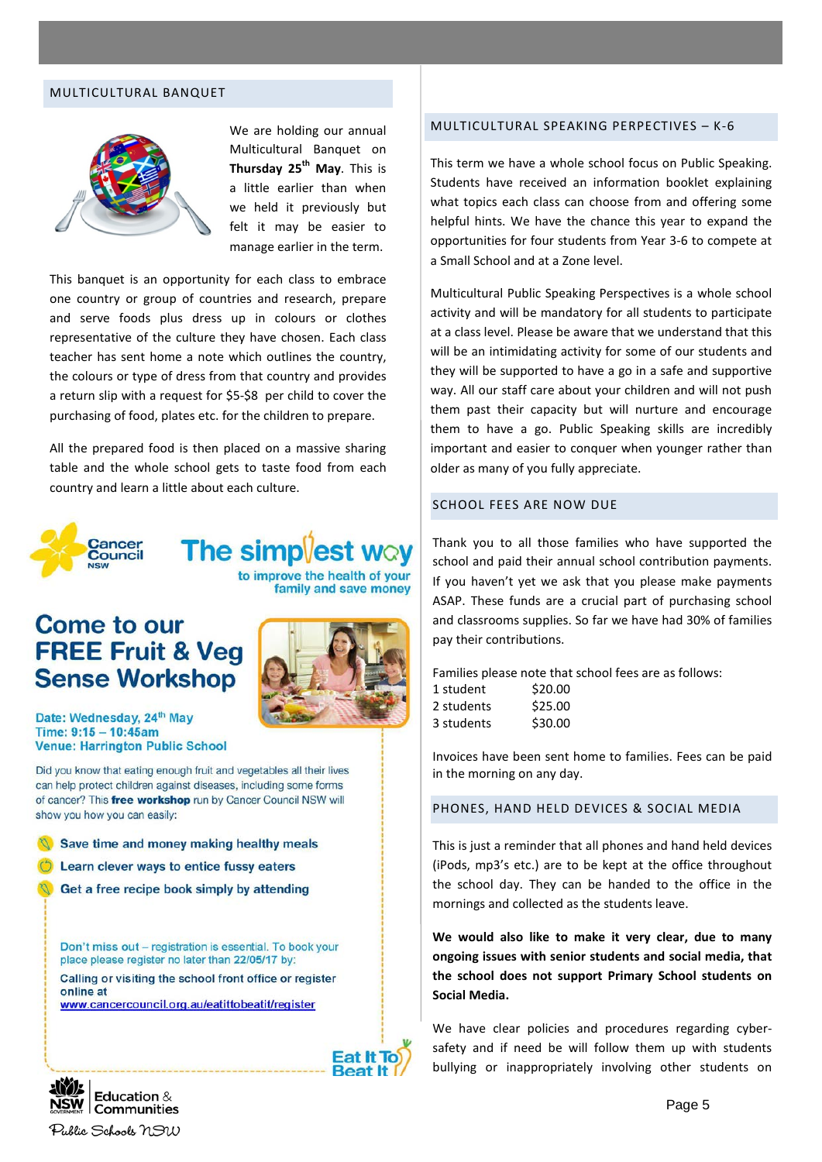#### MULTICULTURAL BANQUET



We are holding our annual Multicultural Banquet on **Thursday 25th May**. This is a little earlier than when we held it previously but felt it may be easier to manage earlier in the term.

This banquet is an opportunity for each class to embrace one country or group of countries and research, prepare and serve foods plus dress up in colours or clothes representative of the culture they have chosen. Each class teacher has sent home a note which outlines the country, the colours or type of dress from that country and provides a return slip with a request for \$5-\$8 per child to cover the purchasing of food, plates etc. for the children to prepare.

All the prepared food is then placed on a massive sharing table and the whole school gets to taste food from each country and learn a little about each culture.



**The simpvest way** to improve the health of your family and save money

# **Come to our FREE Fruit & Veg Sense Workshop**



Date: Wednesday, 24th May Time: 9:15 - 10:45am **Venue: Harrington Public School** 

Did you know that eating enough fruit and vegetables all their lives can help protect children against diseases, including some forms of cancer? This free workshop run by Cancer Council NSW will show you how you can easily:

Save time and money making healthy meals

Learn clever ways to entice fussy eaters

Get a free recipe book simply by attending

Don't miss out - registration is essential. To book your place please register no later than 22/05/17 by: Calling or visiting the school front office or register

online at www.cancercouncil.org.au/eatittobeatit/register



# MULTICULTURAL SPEAKING PERPECTIVES – K-6

This term we have a whole school focus on Public Speaking. Students have received an information booklet explaining what topics each class can choose from and offering some helpful hints. We have the chance this year to expand the opportunities for four students from Year 3-6 to compete at a Small School and at a Zone level.

Multicultural Public Speaking Perspectives is a whole school activity and will be mandatory for all students to participate at a class level. Please be aware that we understand that this will be an intimidating activity for some of our students and they will be supported to have a go in a safe and supportive way. All our staff care about your children and will not push them past their capacity but will nurture and encourage them to have a go. Public Speaking skills are incredibly important and easier to conquer when younger rather than older as many of you fully appreciate.

### SCHOOL FEES ARE NOW DUE

Thank you to all those families who have supported the school and paid their annual school contribution payments. If you haven't yet we ask that you please make payments ASAP. These funds are a crucial part of purchasing school and classrooms supplies. So far we have had 30% of families pay their contributions.

Families please note that school fees are as follows:

| \$20.00 |
|---------|
| \$25.00 |
| \$30.00 |
|         |

Invoices have been sent home to families. Fees can be paid in the morning on any day.

PHONES, HAND HELD DEVICES & SOCIAL MEDIA

This is just a reminder that all phones and hand held devices (iPods, mp3's etc.) are to be kept at the office throughout the school day. They can be handed to the office in the mornings and collected as the students leave.

**We would also like to make it very clear, due to many ongoing issues with senior students and social media, that the school does not support Primary School students on Social Media.**

We have clear policies and procedures regarding cybersafety and if need be will follow them up with students bullying or inappropriately involving other students on

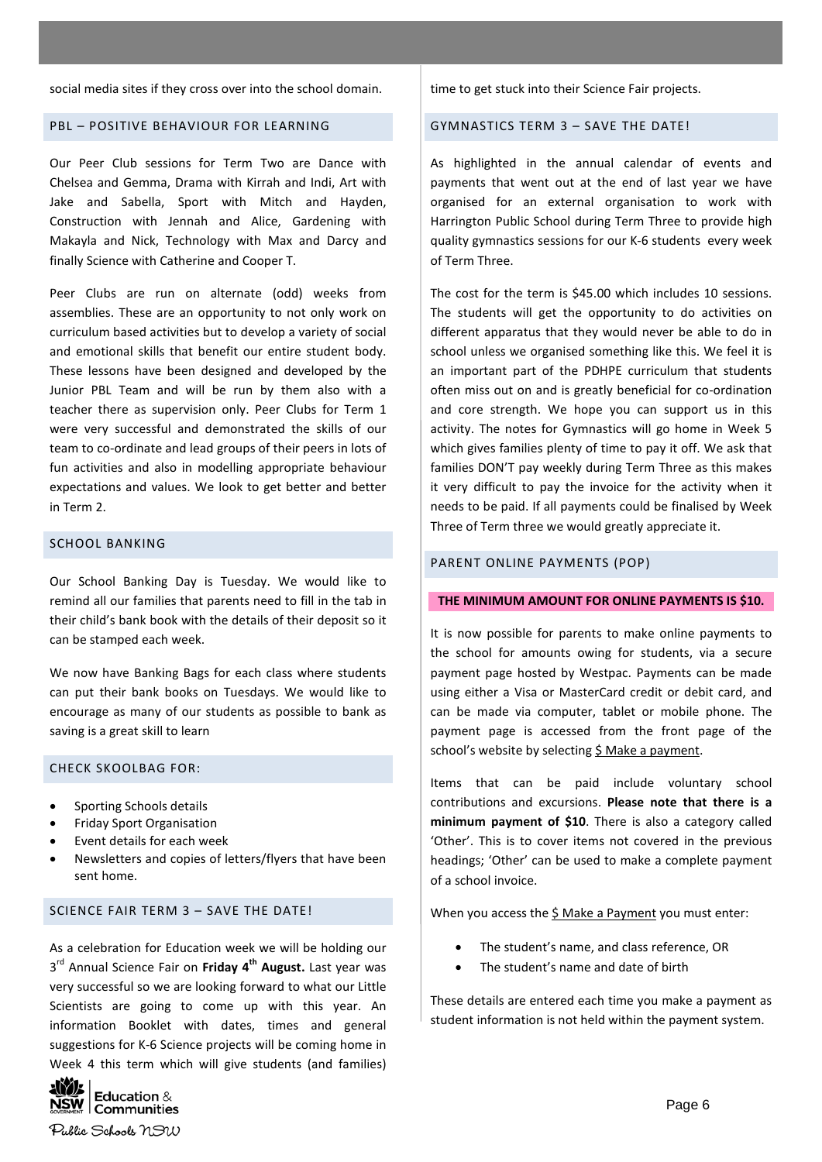social media sites if they cross over into the school domain.

#### PBL – POSITIVE BEHAVIOUR FOR LEARNING

Our Peer Club sessions for Term Two are Dance with Chelsea and Gemma, Drama with Kirrah and Indi, Art with Jake and Sabella, Sport with Mitch and Hayden, Construction with Jennah and Alice, Gardening with Makayla and Nick, Technology with Max and Darcy and finally Science with Catherine and Cooper T.

Peer Clubs are run on alternate (odd) weeks from assemblies. These are an opportunity to not only work on curriculum based activities but to develop a variety of social and emotional skills that benefit our entire student body. These lessons have been designed and developed by the Junior PBL Team and will be run by them also with a teacher there as supervision only. Peer Clubs for Term 1 were very successful and demonstrated the skills of our team to co-ordinate and lead groups of their peers in lots of fun activities and also in modelling appropriate behaviour expectations and values. We look to get better and better in Term 2.

# SCHOOL BANKING

Our School Banking Day is Tuesday. We would like to remind all our families that parents need to fill in the tab in their child's bank book with the details of their deposit so it can be stamped each week.

We now have Banking Bags for each class where students can put their bank books on Tuesdays. We would like to encourage as many of our students as possible to bank as saving is a great skill to learn

### CHECK SKOOLBAG FOR:

- Sporting Schools details
- Friday Sport Organisation
- Event details for each week
- Newsletters and copies of letters/flyers that have been sent home.

#### SCIENCE FAIR TERM 3 – SAVE THE DATE!

As a celebration for Education week we will be holding our 3<sup>rd</sup> Annual Science Fair on Friday 4<sup>th</sup> August. Last year was very successful so we are looking forward to what our Little Scientists are going to come up with this year. An information Booklet with dates, times and general suggestions for K-6 Science projects will be coming home in Week 4 this term which will give students (and families)



time to get stuck into their Science Fair projects.

#### GYMNASTICS TERM 3 – SAVE THE DATE!

As highlighted in the annual calendar of events and payments that went out at the end of last year we have organised for an external organisation to work with Harrington Public School during Term Three to provide high quality gymnastics sessions for our K-6 students every week of Term Three.

The cost for the term is \$45.00 which includes 10 sessions. The students will get the opportunity to do activities on different apparatus that they would never be able to do in school unless we organised something like this. We feel it is an important part of the PDHPE curriculum that students often miss out on and is greatly beneficial for co-ordination and core strength. We hope you can support us in this activity. The notes for Gymnastics will go home in Week 5 which gives families plenty of time to pay it off. We ask that families DON'T pay weekly during Term Three as this makes it very difficult to pay the invoice for the activity when it needs to be paid. If all payments could be finalised by Week Three of Term three we would greatly appreciate it.

#### PARENT ONLINE PAYMENTS (POP)

#### **THE MINIMUM AMOUNT FOR ONLINE PAYMENTS IS \$10.**

It is now possible for parents to make online payments to the school for amounts owing for students, via a secure payment page hosted by Westpac. Payments can be made using either a Visa or MasterCard credit or debit card, and can be made via computer, tablet or mobile phone. The payment page is accessed from the front page of the school's website by selecting \$ Make a payment.

Items that can be paid include voluntary school contributions and excursions. **Please note that there is a minimum payment of \$10**. There is also a category called 'Other'. This is to cover items not covered in the previous headings; 'Other' can be used to make a complete payment of a school invoice.

When you access the \$ Make a Payment you must enter:

- The student's name, and class reference, OR
- The student's name and date of birth

These details are entered each time you make a payment as student information is not held within the payment system.

Page 6

Public Schools NSW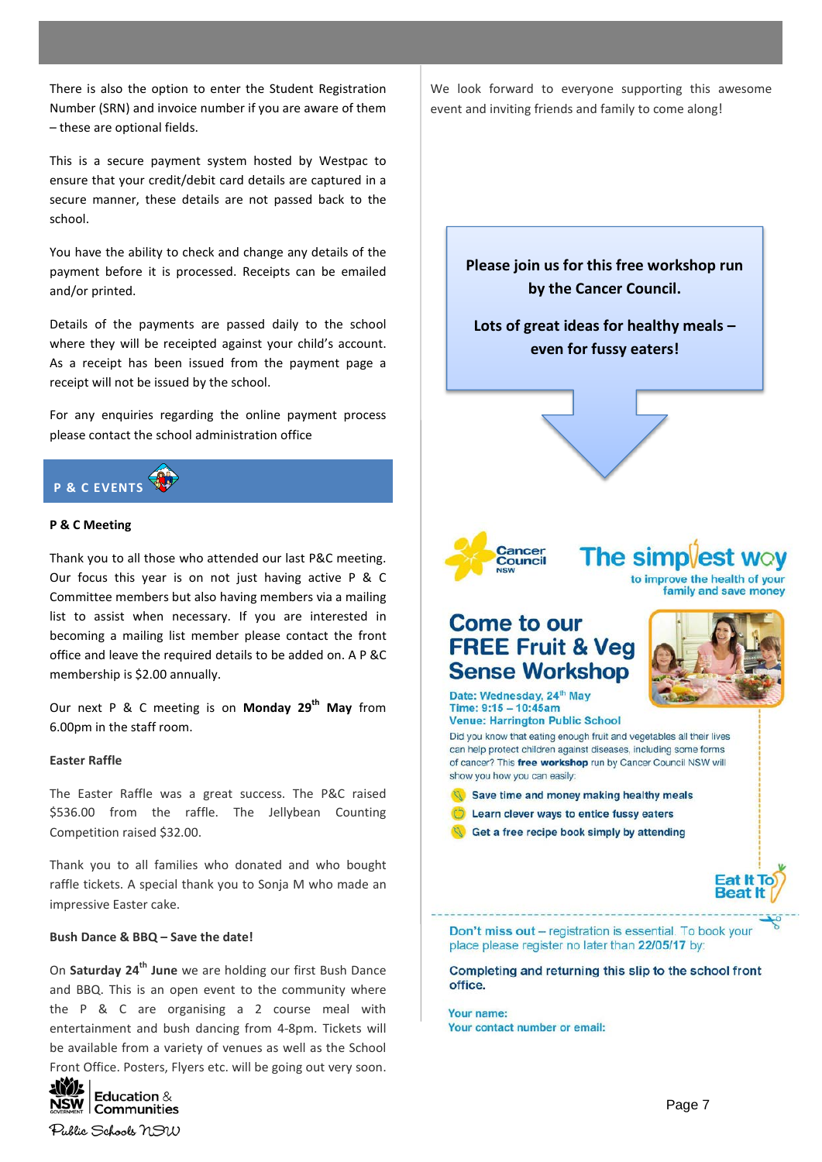There is also the option to enter the Student Registration Number (SRN) and invoice number if you are aware of them – these are optional fields.

This is a secure payment system hosted by Westpac to ensure that your credit/debit card details are captured in a secure manner, these details are not passed back to the school.

You have the ability to check and change any details of the payment before it is processed. Receipts can be emailed and/or printed.

Details of the payments are passed daily to the school where they will be receipted against your child's account. As a receipt has been issued from the payment page a receipt will not be issued by the school.

For any enquiries regarding the online payment process please contact the school administration office



#### **P & C Meeting**

Thank you to all those who attended our last P&C meeting. Our focus this year is on not just having active P & C Committee members but also having members via a mailing list to assist when necessary. If you are interested in becoming a mailing list member please contact the front office and leave the required details to be added on. A P &C membership is \$2.00 annually.

Our next P & C meeting is on **Monday 29th May** from 6.00pm in the staff room.

#### **Easter Raffle**

The Easter Raffle was a great success. The P&C raised \$536.00 from the raffle. The Jellybean Counting Competition raised \$32.00.

Thank you to all families who donated and who bought raffle tickets. A special thank you to Sonja M who made an impressive Easter cake.

#### **Bush Dance & BBQ – Save the date!**

On **Saturday 24th June** we are holding our first Bush Dance and BBQ. This is an open event to the community where the P & C are organising a 2 course meal with entertainment and bush dancing from 4-8pm. Tickets will be available from a variety of venues as well as the School Front Office. Posters, Flyers etc. will be going out very soon.



Public Schools NSW

We look forward to everyone supporting this awesome event and inviting friends and family to come along!

**Please join us for this free workshop run by the Cancer Council.**

**Lots of great ideas for healthy meals – even for fussy eaters!**





**The simpl** to improve the health of your

family and save money

# **Come to our FREE Fruit & Veg Sense Workshop**



Don't miss out - registration is essential. To book your place please register no later than 22/05/17 by:

Completing and returning this slip to the school front office.

Your name: Your contact number or email: